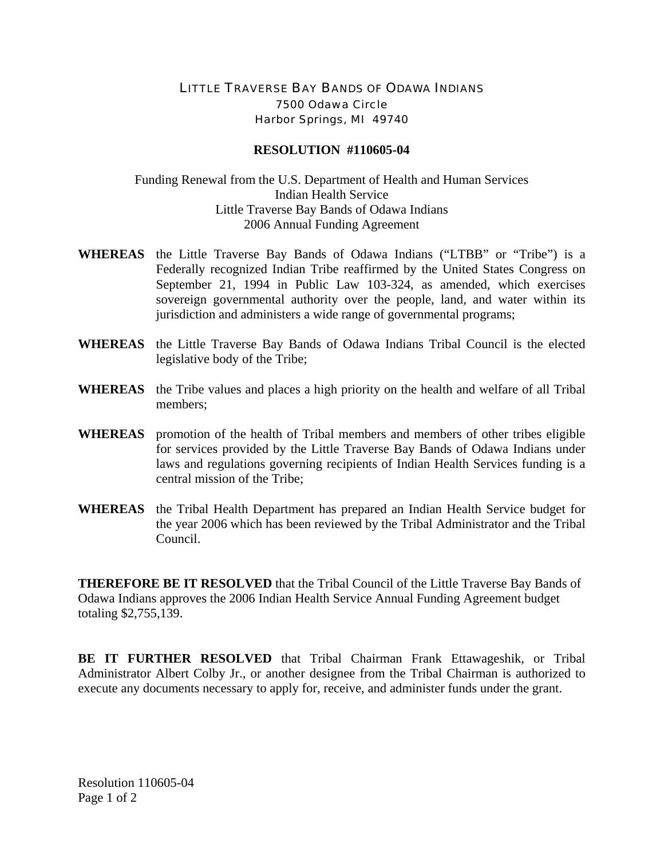## LITTLE TRAVERSE BAY BANDS OF ODAWA INDIANS 7500 Odawa Circle Harbor Springs, MI 49740

## **RESOLUTION #110605-04**

## Funding Renewal from the U.S. Department of Health and Human Services Indian Health Service Little Traverse Bay Bands of Odawa Indians 2006 Annual Funding Agreement

- **WHEREAS** the Little Traverse Bay Bands of Odawa Indians ("LTBB" or "Tribe") is a Federally recognized Indian Tribe reaffirmed by the United States Congress on September 21, 1994 in Public Law 103-324, as amended, which exercises sovereign governmental authority over the people, land, and water within its jurisdiction and administers a wide range of governmental programs;
- **WHEREAS** the Little Traverse Bay Bands of Odawa Indians Tribal Council is the elected legislative body of the Tribe;
- **WHEREAS** the Tribe values and places a high priority on the health and welfare of all Tribal members;
- **WHEREAS** promotion of the health of Tribal members and members of other tribes eligible for services provided by the Little Traverse Bay Bands of Odawa Indians under laws and regulations governing recipients of Indian Health Services funding is a central mission of the Tribe;
- **WHEREAS** the Tribal Health Department has prepared an Indian Health Service budget for the year 2006 which has been reviewed by the Tribal Administrator and the Tribal Council.

**THEREFORE BE IT RESOLVED** that the Tribal Council of the Little Traverse Bay Bands of Odawa Indians approves the 2006 Indian Health Service Annual Funding Agreement budget totaling \$2,755,139.

**BE IT FURTHER RESOLVED** that Tribal Chairman Frank Ettawageshik, or Tribal Administrator Albert Colby Jr., or another designee from the Tribal Chairman is authorized to execute any documents necessary to apply for, receive, and administer funds under the grant.